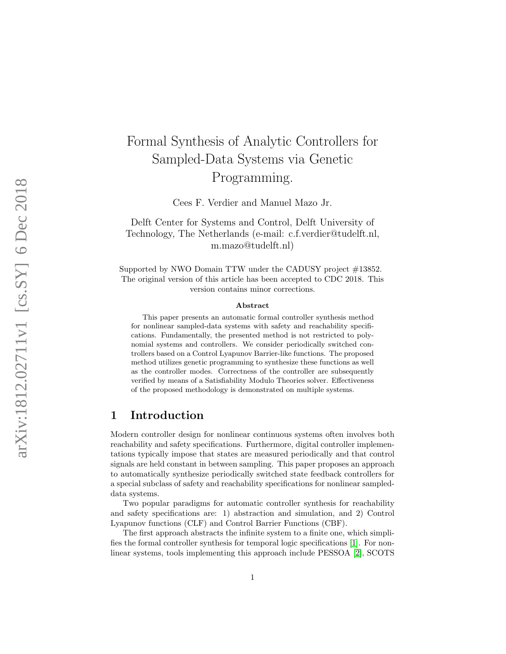# Formal Synthesis of Analytic Controllers for Sampled-Data Systems via Genetic Programming.

Cees F. Verdier and Manuel Mazo Jr.

Delft Center for Systems and Control, Delft University of Technology, The Netherlands (e-mail: c.f.verdier@tudelft.nl, m.mazo@tudelft.nl)

Supported by NWO Domain TTW under the CADUSY project  $\#13852$ . The original version of this article has been accepted to CDC 2018. This version contains minor corrections.

#### Abstract

This paper presents an automatic formal controller synthesis method for nonlinear sampled-data systems with safety and reachability specifications. Fundamentally, the presented method is not restricted to polynomial systems and controllers. We consider periodically switched controllers based on a Control Lyapunov Barrier-like functions. The proposed method utilizes genetic programming to synthesize these functions as well as the controller modes. Correctness of the controller are subsequently verified by means of a Satisfiability Modulo Theories solver. Effectiveness of the proposed methodology is demonstrated on multiple systems.

### 1 Introduction

Modern controller design for nonlinear continuous systems often involves both reachability and safety specifications. Furthermore, digital controller implementations typically impose that states are measured periodically and that control signals are held constant in between sampling. This paper proposes an approach to automatically synthesize periodically switched state feedback controllers for a special subclass of safety and reachability specifications for nonlinear sampleddata systems.

Two popular paradigms for automatic controller synthesis for reachability and safety specifications are: 1) abstraction and simulation, and 2) Control Lyapunov functions (CLF) and Control Barrier Functions (CBF).

The first approach abstracts the infinite system to a finite one, which simplifies the formal controller synthesis for temporal logic specifications [\[1\]](#page-13-0). For nonlinear systems, tools implementing this approach include PESSOA [\[2\]](#page-13-1), SCOTS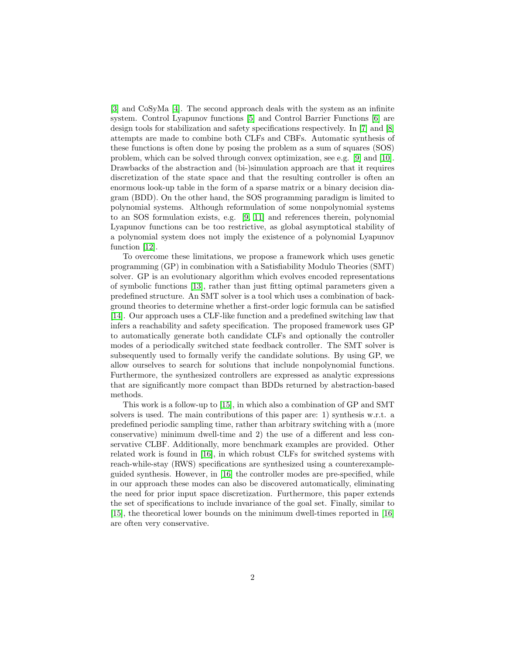[\[3\]](#page-13-2) and CoSyMa [\[4\]](#page-13-3). The second approach deals with the system as an infinite system. Control Lyapunov functions [\[5\]](#page-13-4) and Control Barrier Functions [\[6\]](#page-13-5) are design tools for stabilization and safety specifications respectively. In [\[7\]](#page-13-6) and [\[8\]](#page-13-7) attempts are made to combine both CLFs and CBFs. Automatic synthesis of these functions is often done by posing the problem as a sum of squares (SOS) problem, which can be solved through convex optimization, see e.g. [\[9\]](#page-14-0) and [\[10\]](#page-14-1). Drawbacks of the abstraction and (bi-)simulation approach are that it requires discretization of the state space and that the resulting controller is often an enormous look-up table in the form of a sparse matrix or a binary decision diagram (BDD). On the other hand, the SOS programming paradigm is limited to polynomial systems. Although reformulation of some nonpolynomial systems to an SOS formulation exists, e.g. [\[9,](#page-14-0) [11\]](#page-14-2) and references therein, polynomial Lyapunov functions can be too restrictive, as global asymptotical stability of a polynomial system does not imply the existence of a polynomial Lyapunov function [\[12\]](#page-14-3).

To overcome these limitations, we propose a framework which uses genetic programming (GP) in combination with a Satisfiability Modulo Theories (SMT) solver. GP is an evolutionary algorithm which evolves encoded representations of symbolic functions [\[13\]](#page-14-4), rather than just fitting optimal parameters given a predefined structure. An SMT solver is a tool which uses a combination of background theories to determine whether a first-order logic formula can be satisfied [\[14\]](#page-14-5). Our approach uses a CLF-like function and a predefined switching law that infers a reachability and safety specification. The proposed framework uses GP to automatically generate both candidate CLFs and optionally the controller modes of a periodically switched state feedback controller. The SMT solver is subsequently used to formally verify the candidate solutions. By using GP, we allow ourselves to search for solutions that include nonpolynomial functions. Furthermore, the synthesized controllers are expressed as analytic expressions that are significantly more compact than BDDs returned by abstraction-based methods.

This work is a follow-up to [\[15\]](#page-14-6), in which also a combination of GP and SMT solvers is used. The main contributions of this paper are: 1) synthesis w.r.t. a predefined periodic sampling time, rather than arbitrary switching with a (more conservative) minimum dwell-time and 2) the use of a different and less conservative CLBF. Additionally, more benchmark examples are provided. Other related work is found in [\[16\]](#page-14-7), in which robust CLFs for switched systems with reach-while-stay (RWS) specifications are synthesized using a counterexampleguided synthesis. However, in [\[16\]](#page-14-7) the controller modes are pre-specified, while in our approach these modes can also be discovered automatically, eliminating the need for prior input space discretization. Furthermore, this paper extends the set of specifications to include invariance of the goal set. Finally, similar to [\[15\]](#page-14-6), the theoretical lower bounds on the minimum dwell-times reported in [\[16\]](#page-14-7) are often very conservative.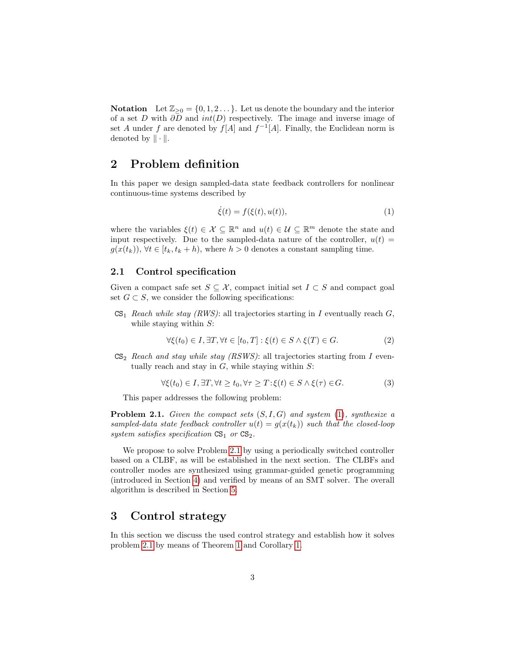**Notation** Let  $\mathbb{Z}_{\geq 0} = \{0, 1, 2 \dots\}$ . Let us denote the boundary and the interior of a set D with  $\partial D$  and  $int(D)$  respectively. The image and inverse image of set A under f are denoted by  $f[A]$  and  $f^{-1}[A]$ . Finally, the Euclidean norm is denoted by  $\|\cdot\|$ .

# 2 Problem definition

In this paper we design sampled-data state feedback controllers for nonlinear continuous-time systems described by

<span id="page-2-0"></span>
$$
\dot{\xi}(t) = f(\xi(t), u(t)),\tag{1}
$$

where the variables  $\xi(t) \in \mathcal{X} \subseteq \mathbb{R}^n$  and  $u(t) \in \mathcal{U} \subseteq \mathbb{R}^m$  denote the state and input respectively. Due to the sampled-data nature of the controller,  $u(t)$  =  $g(x(t_k))$ ,  $\forall t \in [t_k, t_k + h)$ , where  $h > 0$  denotes a constant sampling time.

#### 2.1 Control specification

Given a compact safe set  $S \subseteq \mathcal{X}$ , compact initial set  $I \subset S$  and compact goal set  $G \subset S$ , we consider the following specifications:

 $CS<sub>1</sub>$  Reach while stay (RWS): all trajectories starting in I eventually reach G, while staying within  $S$ :

<span id="page-2-2"></span>
$$
\forall \xi(t_0) \in I, \exists T, \forall t \in [t_0, T] : \xi(t) \in S \land \xi(T) \in G.
$$
\n
$$
(2)
$$

 $CS<sub>2</sub>$  Reach and stay while stay (RSWS): all trajectories starting from I eventually reach and stay in  $G$ , while staying within  $S$ :

<span id="page-2-3"></span>
$$
\forall \xi(t_0) \in I, \exists T, \forall t \ge t_0, \forall \tau \ge T : \xi(t) \in S \land \xi(\tau) \in G.
$$
 (3)

This paper addresses the following problem:

<span id="page-2-1"></span>**Problem 2.1.** Given the compact sets  $(S, I, G)$  and system [\(1\)](#page-2-0), synthesize a sampled-data state feedback controller  $u(t) = g(x(t_k))$  such that the closed-loop system satisfies specification  $CS_1$  or  $CS_2$ .

We propose to solve Problem [2.1](#page-2-1) by using a periodically switched controller based on a CLBF, as will be established in the next section. The CLBFs and controller modes are synthesized using grammar-guided genetic programming (introduced in Section [4\)](#page-4-0) and verified by means of an SMT solver. The overall algorithm is described in Section [5.](#page-6-0)

## 3 Control strategy

In this section we discuss the used control strategy and establish how it solves problem [2.1](#page-2-1) by means of Theorem [1](#page-4-1) and Corollary [1.](#page-4-2)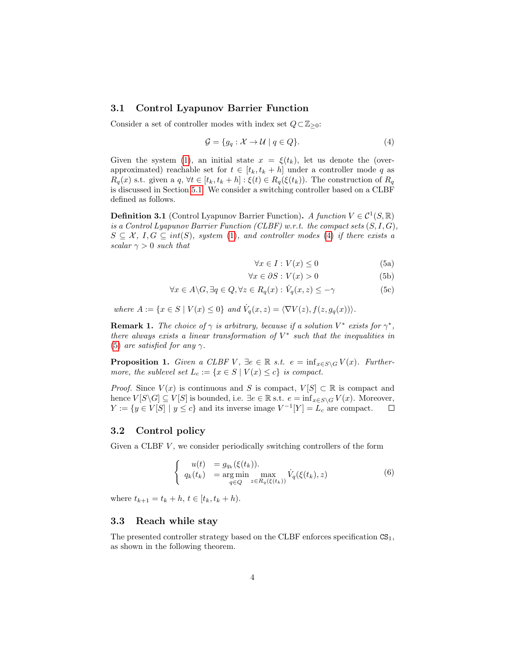#### 3.1 Control Lyapunov Barrier Function

Consider a set of controller modes with index set  $Q \subset \mathbb{Z}_{\geq 0}$ :

<span id="page-3-0"></span>
$$
\mathcal{G} = \{ g_q : \mathcal{X} \to \mathcal{U} \mid q \in Q \}. \tag{4}
$$

Given the system [\(1\)](#page-2-0), an initial state  $x = \xi(t_k)$ , let us denote the (overapproximated) reachable set for  $t \in [t_k, t_k + h]$  under a controller mode q as  $R_q(x)$  s.t. given a q,  $\forall t \in [t_k, t_k + h] : \xi(t) \in R_q(\xi(t_k))$ . The construction of  $R_q$ is discussed in Section [5.1.](#page-6-1) We consider a switching controller based on a CLBF defined as follows.

**Definition 3.1** (Control Lyapunov Barrier Function). A function  $V \in C^1(S, \mathbb{R})$ is a Control Lyapunov Barrier Function (CLBF) w.r.t. the compact sets  $(S, I, G)$ ,  $S \subseteq \mathcal{X}, I, G \subseteq int(S),$  system [\(1\)](#page-2-0), and controller modes [\(4\)](#page-3-0) if there exists a scalar  $\gamma > 0$  such that

<span id="page-3-4"></span><span id="page-3-3"></span><span id="page-3-1"></span>
$$
\forall x \in I : V(x) \le 0 \tag{5a}
$$

$$
\forall x \in \partial S : V(x) > 0 \tag{5b}
$$

$$
\forall x \in A \setminus G, \exists q \in Q, \forall z \in R_q(x) : \dot{V}_q(x, z) \leq -\gamma
$$
\n
$$
(5c)
$$

where  $A := \{x \in S \mid V(x) \leq 0\}$  and  $\dot{V}_q(x, z) = \langle \nabla V(z), f(z, g_q(x)) \rangle$ .

**Remark 1.** The choice of  $\gamma$  is arbitrary, because if a solution  $V^*$  exists for  $\gamma^*$ , there always exists a linear transformation of  $V^*$  such that the inequalities in [\(5\)](#page-3-1) are satisfied for any  $\gamma$ .

<span id="page-3-5"></span>**Proposition 1.** Given a CLBF V,  $\exists e \in \mathbb{R}$  s.t.  $e = \inf_{x \in S \setminus G} V(x)$ . Furthermore, the sublevel set  $L_c := \{x \in S \mid V(x) \leq c\}$  is compact.

*Proof.* Since  $V(x)$  is continuous and S is compact,  $V[S] \subset \mathbb{R}$  is compact and hence  $V[S\setminus G] \subseteq V[S]$  is bounded, i.e.  $\exists e \in \mathbb{R}$  s.t.  $e = \inf_{x \in S\setminus G} V(x)$ . Moreover,  $Y := \{ y \in V[S] \mid y \leq c \}$  and its inverse image  $V^{-1}[Y] = L_c$  are compact.  $\Box$ 

#### 3.2 Control policy

Given a CLBF  $V$ , we consider periodically switching controllers of the form

<span id="page-3-2"></span>
$$
\begin{cases}\n u(t) &= g_{q_k}(\xi(t_k)). \\
q_k(t_k) &= \underset{q \in Q}{\arg \min} \max_{z \in R_q(\xi(t_k))} \dot{V}_q(\xi(t_k), z)\n\end{cases} \tag{6}
$$

where  $t_{k+1} = t_k + h, t \in [t_k, t_k + h)$ .

#### 3.3 Reach while stay

The presented controller strategy based on the CLBF enforces specification  $CS<sub>1</sub>$ , as shown in the following theorem.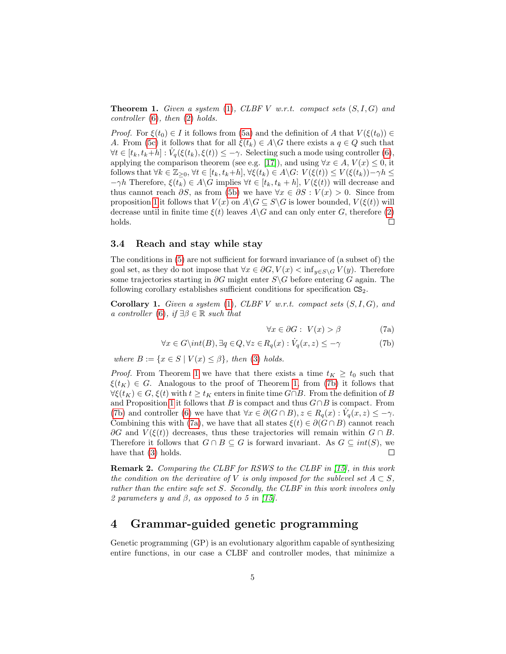<span id="page-4-1"></span>**Theorem 1.** Given a system  $(1)$ , CLBF V w.r.t. compact sets  $(S, I, G)$  and controller  $(6)$ , then  $(2)$  holds.

*Proof.* For  $\xi(t_0) \in I$  it follows from [\(5a\)](#page-3-3) and the definition of A that  $V(\xi(t_0)) \in$ A. From [\(5c\)](#page-3-1) it follows that for all  $\xi(t_k) \in A \backslash G$  there exists a  $q \in Q$  such that  $\forall t \in [t_k, t_k+h] : V_q(\xi(t_k), \xi(t)) \leq -\gamma$ . Selecting such a mode using controller [\(6\)](#page-3-2), applying the comparison theorem (see e.g. [\[17\]](#page-14-8)), and using  $\forall x \in A, V(x) \leq 0$ , it follows that  $\forall k \in \mathbb{Z}_{\geq 0}, \forall t \in [t_k, t_k+h], \forall \xi(t_k) \in A \backslash G: V(\xi(t)) \leq V(\xi(t_k)) - \gamma h \leq$  $-\gamma h$  Therefore,  $\xi(t_k) \in A \backslash G$  implies  $\forall t \in [t_k, t_k + h]$ ,  $V(\xi(t))$  will decrease and thus cannot reach  $\partial S$ , as from [\(5b\)](#page-3-4) we have  $\forall x \in \partial S : V(x) > 0$ . Since from proposition [1](#page-3-5) it follows that  $V(x)$  on  $A\backslash G \subseteq S\backslash G$  is lower bounded,  $V(\xi(t))$  will decrease until in finite time  $\xi(t)$  leaves  $A\backslash G$  and can only enter G, therefore [\(2\)](#page-2-2) holds.  $\Box$ 

#### 3.4 Reach and stay while stay

The conditions in [\(5\)](#page-3-1) are not sufficient for forward invariance of (a subset of) the goal set, as they do not impose that  $\forall x \in \partial G, V(x) < \inf_{y \in S \setminus G} V(y)$ . Therefore some trajectories starting in  $\partial G$  might enter S\G before entering G again. The following corollary establishes sufficient conditions for specification  $CS<sub>2</sub>$ .

<span id="page-4-2"></span>Corollary 1. Given a system  $(1)$ , CLBF V w.r.t. compact sets  $(S, I, G)$ , and a controller [\(6\)](#page-3-2), if  $\exists \beta \in \mathbb{R}$  such that

<span id="page-4-4"></span><span id="page-4-3"></span>
$$
\forall x \in \partial G : V(x) > \beta \tag{7a}
$$

$$
\forall x \in G \setminus int(B), \exists q \in Q, \forall z \in R_q(x) : \dot{V}_q(x, z) \le -\gamma
$$
\n(7b)

where  $B := \{x \in S \mid V(x) \leq \beta\}$ , then [\(3\)](#page-2-3) holds.

*Proof.* From Theorem [1](#page-4-1) we have that there exists a time  $t_K \geq t_0$  such that  $\xi(t_K) \in G$ . Analogous to the proof of Theorem [1,](#page-4-1) from [\(7b\)](#page-4-3) it follows that  $\forall \xi(t_K) \in G, \xi(t)$  with  $t \geq t_K$  enters in finite time  $G \cap B$ . From the definition of B and Proposition [1](#page-3-5) it follows that B is compact and thus  $G \cap B$  is compact. From [\(7b\)](#page-4-3) and controller [\(6\)](#page-3-2) we have that  $\forall x \in \partial(G \cap B), z \in R_q(x) : V_q(x, z) \leq -\gamma$ . Combining this with [\(7a\)](#page-4-4), we have that all states  $\xi(t) \in \partial(G \cap B)$  cannot reach  $\partial G$  and  $V(\xi(t))$  decreases, thus these trajectories will remain within  $G \cap B$ . Therefore it follows that  $G \cap B \subseteq G$  is forward invariant. As  $G \subseteq int(S)$ , we have that [\(3\)](#page-2-3) holds.  $\Box$ 

Remark 2. Comparing the CLBF for RSWS to the CLBF in [\[15\]](#page-14-6), in this work the condition on the derivative of V is only imposed for the sublevel set  $A \subset S$ , rather than the entire safe set S. Secondly, the CLBF in this work involves only 2 parameters y and  $\beta$ , as opposed to 5 in [\[15\]](#page-14-6).

## <span id="page-4-0"></span>4 Grammar-guided genetic programming

Genetic programming (GP) is an evolutionary algorithm capable of synthesizing entire functions, in our case a CLBF and controller modes, that minimize a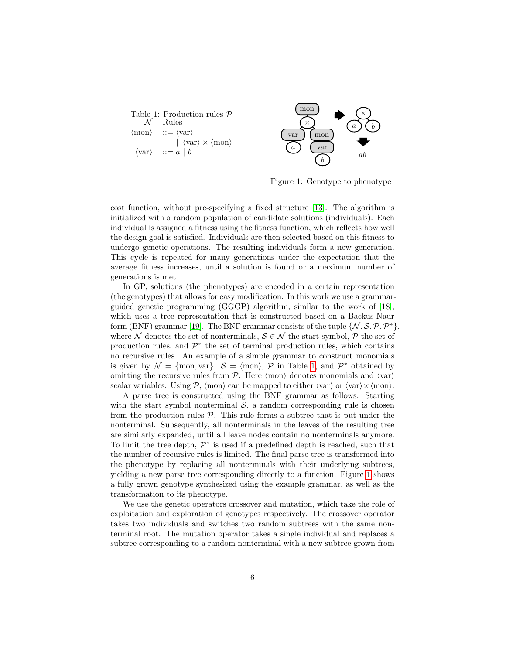<span id="page-5-0"></span>

| Table 1: Production rules $P$<br>Rules                        |
|---------------------------------------------------------------|
| $\langle \text{mon} \rangle$ ::= $\langle \text{var} \rangle$ |
| $ \langle var \rangle \times \langle mon \rangle$             |
| $\langle \text{var} \rangle$ ::= $a \mid b$                   |



<span id="page-5-1"></span>Figure 1: Genotype to phenotype

cost function, without pre-specifying a fixed structure [\[13\]](#page-14-4). The algorithm is initialized with a random population of candidate solutions (individuals). Each individual is assigned a fitness using the fitness function, which reflects how well the design goal is satisfied. Individuals are then selected based on this fitness to undergo genetic operations. The resulting individuals form a new generation. This cycle is repeated for many generations under the expectation that the average fitness increases, until a solution is found or a maximum number of generations is met.

In GP, solutions (the phenotypes) are encoded in a certain representation (the genotypes) that allows for easy modification. In this work we use a grammarguided genetic programming (GGGP) algorithm, similar to the work of [\[18\]](#page-14-9), which uses a tree representation that is constructed based on a Backus-Naur form (BNF) grammar [\[19\]](#page-14-10). The BNF grammar consists of the tuple  $\{\mathcal{N}, \mathcal{S}, \mathcal{P}, \mathcal{P}^*\},$ where N denotes the set of nonterminals,  $S \in \mathcal{N}$  the start symbol, P the set of production rules, and  $\mathcal{P}^*$  the set of terminal production rules, which contains no recursive rules. An example of a simple grammar to construct monomials is given by  $\mathcal{N} = \{ \text{mon}, \text{var} \}, \; \mathcal{S} = \langle \text{mon} \rangle, \; \mathcal{P}$  in Table [1,](#page-5-0) and  $\mathcal{P}^*$  obtained by omitting the recursive rules from  $P$ . Here  $\langle \text{mon} \rangle$  denotes monomials and  $\langle \text{var} \rangle$ scalar variables. Using  $P$ ,  $\langle \text{mon} \rangle$  can be mapped to either  $\langle \text{var} \rangle$  or  $\langle \text{var} \rangle \times \langle \text{mon} \rangle$ .

A parse tree is constructed using the BNF grammar as follows. Starting with the start symbol nonterminal  $S$ , a random corresponding rule is chosen from the production rules  $P$ . This rule forms a subtree that is put under the nonterminal. Subsequently, all nonterminals in the leaves of the resulting tree are similarly expanded, until all leave nodes contain no nonterminals anymore. To limit the tree depth,  $\mathcal{P}^*$  is used if a predefined depth is reached, such that the number of recursive rules is limited. The final parse tree is transformed into the phenotype by replacing all nonterminals with their underlying subtrees, yielding a new parse tree corresponding directly to a function. Figure [1](#page-5-1) shows a fully grown genotype synthesized using the example grammar, as well as the transformation to its phenotype.

We use the genetic operators crossover and mutation, which take the role of exploitation and exploration of genotypes respectively. The crossover operator takes two individuals and switches two random subtrees with the same nonterminal root. The mutation operator takes a single individual and replaces a subtree corresponding to a random nonterminal with a new subtree grown from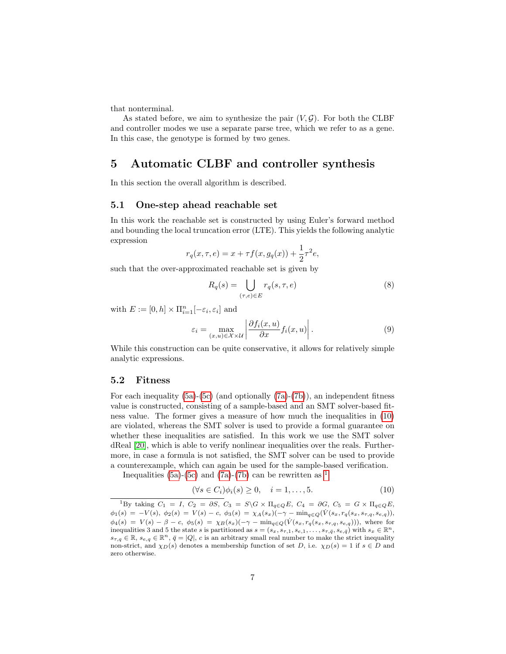that nonterminal.

As stated before, we aim to synthesize the pair  $(V, \mathcal{G})$ . For both the CLBF and controller modes we use a separate parse tree, which we refer to as a gene. In this case, the genotype is formed by two genes.

### <span id="page-6-0"></span>5 Automatic CLBF and controller synthesis

In this section the overall algorithm is described.

#### <span id="page-6-1"></span>5.1 One-step ahead reachable set

In this work the reachable set is constructed by using Euler's forward method and bounding the local truncation error (LTE). This yields the following analytic expression

$$
r_q(x, \tau, e) = x + \tau f(x, g_q(x)) + \frac{1}{2}\tau^2 e,
$$

such that the over-approximated reachable set is given by

$$
R_q(s) = \bigcup_{(\tau,e)\in E} r_q(s,\tau,e)
$$
\n(8)

with  $E := [0, h] \times \prod_{i=1}^{n} [-\varepsilon_i, \varepsilon_i]$  and

$$
\varepsilon_i = \max_{(x,u)\in\mathcal{X}\times\mathcal{U}} \left| \frac{\partial f_i(x,u)}{\partial x} f_i(x,u) \right|.
$$
 (9)

While this construction can be quite conservative, it allows for relatively simple analytic expressions.

#### 5.2 Fitness

For each inequality  $(5a)-(5c)$  $(5a)-(5c)$  $(5a)-(5c)$  (and optionally  $(7a)-(7b)$  $(7a)-(7b)$  $(7a)-(7b)$ ), an independent fitness value is constructed, consisting of a sample-based and an SMT solver-based fitness value. The former gives a measure of how much the inequalities in [\(10\)](#page-6-2) are violated, whereas the SMT solver is used to provide a formal guarantee on whether these inequalities are satisfied. In this work we use the SMT solver dReal [\[20\]](#page-14-11), which is able to verify nonlinear inequalities over the reals. Furthermore, in case a formula is not satisfied, the SMT solver can be used to provide a counterexample, which can again be used for the sample-based verification.

Inequalities [\(5a\)](#page-3-3)-[\(5c\)](#page-3-1) and [\(7a\)](#page-4-4)-[\(7b\)](#page-4-3) can be rewritten as  $<sup>1</sup>$  $<sup>1</sup>$  $<sup>1</sup>$ </sup>

<span id="page-6-2"></span>
$$
(\forall s \in C_i)\phi_i(s) \ge 0, \quad i = 1, \dots, 5. \tag{10}
$$

<span id="page-6-3"></span><sup>&</sup>lt;sup>1</sup>By taking  $C_1 = I$ ,  $C_2 = \partial S$ ,  $C_3 = S \backslash G \times \Pi_{q \in Q} E$ ,  $C_4 = \partial G$ ,  $C_5 = G \times \Pi_{q \in Q} E$ ,  $\phi_1(s) = -V(s), \ \phi_2(s) = V(s) - c, \ \phi_3(s) = \chi_A(s_x)(-\gamma - \min_{q \in Q}(\dot{V}(s_x, r_q(s_x, s_{\tau,q}, s_{e,q})),$  $\phi_4(s) = V(s) - \beta - c, \ \phi_5(s) = \chi_B(s_x)(-\gamma - \min_{q \in Q}(V(s_x, r_q(s_x, s_{\tau,q}, s_{e,q}))),$  where for inequalities 3 and 5 the state s is partitioned as  $s = (s_x, s_{\tau,1}, s_{e,1}, \ldots, s_{\tau,\bar{q}}, s_{e,\bar{q}})$  with  $s_x \in \mathbb{R}^n$ ,  $s_{\tau,q} \in \mathbb{R}$ ,  $s_{e,q} \in \mathbb{R}^n$ ,  $\bar{q} = |Q|$ , c is an arbitrary small real number to make the strict inequality non-strict, and  $\chi_D(s)$  denotes a membership function of set D, i.e.  $\chi_D(s) = 1$  if  $s \in D$  and zero otherwise.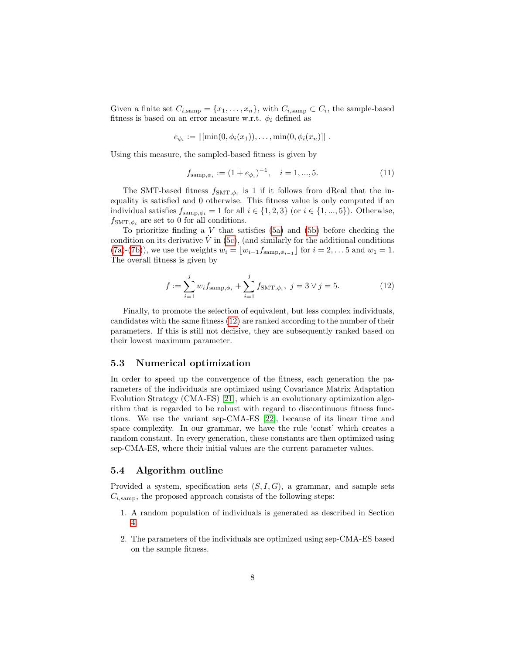Given a finite set  $C_{i,\text{ samp}} = \{x_1, \ldots, x_n\}$ , with  $C_{i,\text{ samp}} \subset C_i$ , the sample-based fitness is based on an error measure w.r.t.  $\phi_i$  defined as

$$
e_{\phi_i} := ||[\min(0, \phi_i(x_1)), \dots, \min(0, \phi_i(x_n)]||.
$$

Using this measure, the sampled-based fitness is given by

$$
f_{\text{samp},\phi_i} := (1 + e_{\phi_i})^{-1}, \quad i = 1, ..., 5.
$$
 (11)

The SMT-based fitness  $f_{\text{SMT},\phi_i}$  is 1 if it follows from dReal that the inequality is satisfied and 0 otherwise. This fitness value is only computed if an individual satisfies  $f_{\text{samp},\phi_i} = 1$  for all  $i \in \{1,2,3\}$  (or  $i \in \{1,...,5\}$ ). Otherwise,  $f_{\text{SMT},\phi_i}$  are set to 0 for all conditions.

To prioritize finding a  $V$  that satisfies [\(5a\)](#page-3-3) and [\(5b\)](#page-3-4) before checking the condition on its derivative  $\dot{V}$  in [\(5c\)](#page-3-1), (and similarly for the additional conditions [\(7a\)](#page-4-4)-[\(7b\)](#page-4-3)), we use the weights  $w_i = \lfloor w_{i-1}f_{\text{samp}, \phi_{i-1}} \rfloor$  for  $i = 2, \ldots 5$  and  $w_1 = 1$ . The overall fitness is given by

<span id="page-7-0"></span>
$$
f := \sum_{i=1}^{j} w_i f_{\text{samp}, \phi_i} + \sum_{i=1}^{j} f_{\text{SMT}, \phi_i}, \ j = 3 \lor j = 5.
$$
 (12)

Finally, to promote the selection of equivalent, but less complex individuals, candidates with the same fitness [\(12\)](#page-7-0) are ranked according to the number of their parameters. If this is still not decisive, they are subsequently ranked based on their lowest maximum parameter.

#### 5.3 Numerical optimization

In order to speed up the convergence of the fitness, each generation the parameters of the individuals are optimized using Covariance Matrix Adaptation Evolution Strategy (CMA-ES) [\[21\]](#page-14-12), which is an evolutionary optimization algorithm that is regarded to be robust with regard to discontinuous fitness functions. We use the variant sep-CMA-ES [\[22\]](#page-15-0), because of its linear time and space complexity. In our grammar, we have the rule 'const' which creates a random constant. In every generation, these constants are then optimized using sep-CMA-ES, where their initial values are the current parameter values.

#### 5.4 Algorithm outline

Provided a system, specification sets  $(S, I, G)$ , a grammar, and sample sets  $C_{i,\text{ samp}}$ , the proposed approach consists of the following steps:

- 1. A random population of individuals is generated as described in Section [4.](#page-4-0)
- 2. The parameters of the individuals are optimized using sep-CMA-ES based on the sample fitness.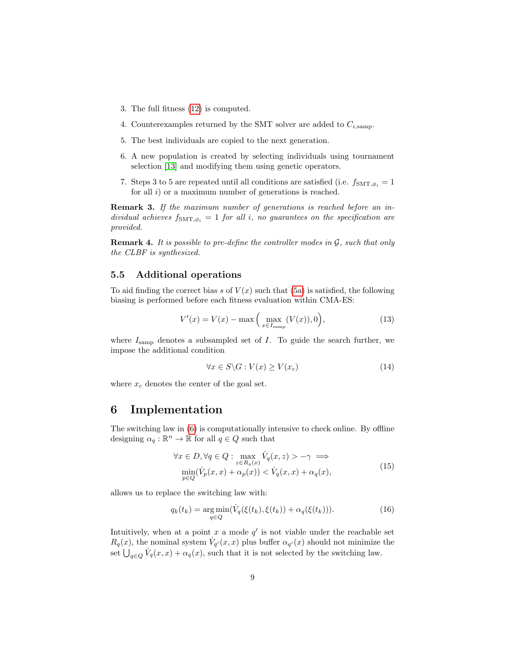- 3. The full fitness [\(12\)](#page-7-0) is computed.
- 4. Counterexamples returned by the SMT solver are added to  $C_{i,\text{samp}}$ .
- 5. The best individuals are copied to the next generation.
- 6. A new population is created by selecting individuals using tournament selection [\[13\]](#page-14-4) and modifying them using genetic operators.
- 7. Steps 3 to 5 are repeated until all conditions are satisfied (i.e.  $f_{\text{SMT},\phi_i} = 1$ for all  $i)$  or a maximum number of generations is reached.

Remark 3. If the maximum number of generations is reached before an individual achieves  $f_{\text{SMT},\phi_i} = 1$  for all i, no guarantees on the specification are provided.

**Remark 4.** It is possible to pre-define the controller modes in  $\mathcal{G}$ , such that only the CLBF is synthesized.

#### 5.5 Additional operations

To aid finding the correct bias s of  $V(x)$  such that [\(5a\)](#page-3-3) is satisfied, the following biasing is performed before each fitness evaluation within CMA-ES:

$$
V'(x) = V(x) - \max\left(\max_{x \in I_{\text{samp}}} (V(x)), 0\right),\tag{13}
$$

where  $I_{\text{ samp}}$  denotes a subsampled set of I. To guide the search further, we impose the additional condition

$$
\forall x \in S \setminus G : V(x) \ge V(x_c) \tag{14}
$$

where  $x_c$  denotes the center of the goal set.

### 6 Implementation

The switching law in [\(6\)](#page-3-2) is computationally intensive to check online. By offline designing  $\alpha_q : \mathbb{R}^n \to \mathbb{R}$  for all  $q \in Q$  such that

<span id="page-8-0"></span>
$$
\forall x \in D, \forall q \in Q : \max_{z \in R_q(x)} \dot{V}_q(x, z) > -\gamma \implies
$$
  

$$
\min_{p \in Q} (\dot{V}_p(x, x) + \alpha_p(x)) < \dot{V}_q(x, x) + \alpha_q(x),
$$
 (15)

allows us to replace the switching law with:

<span id="page-8-1"></span>
$$
q_k(t_k) = \underset{q \in Q}{\arg \min} (\dot{V}_q(\xi(t_k), \xi(t_k)) + \alpha_q(\xi(t_k))). \tag{16}
$$

Intuitively, when at a point  $x$  a mode  $q'$  is not viable under the reachable set  $R_q(x)$ , the nominal system  $\dot{V}_{q'}(x,x)$  plus buffer  $\alpha_{q'}(x)$  should not minimize the set  $\bigcup_{q\in Q} V_q(x,x) + \alpha_q(x)$ , such that it is not selected by the switching law.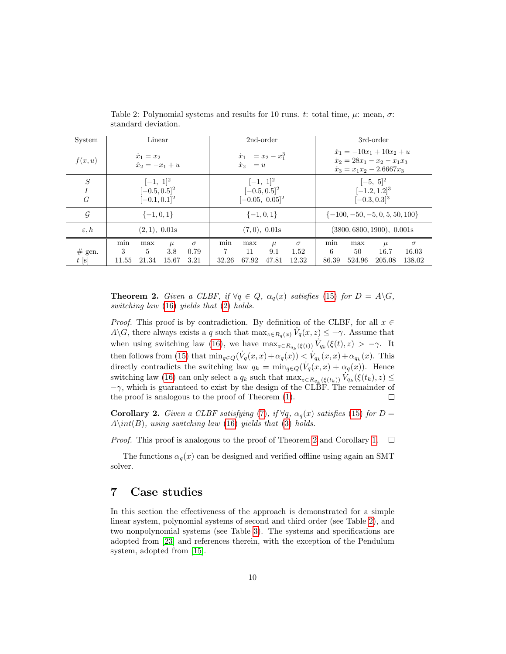| System               | Linear                                                  |                                  | 2nd-order                                               |              | 3rd-order    |                                    |                                                                                                              |           |               |                   |
|----------------------|---------------------------------------------------------|----------------------------------|---------------------------------------------------------|--------------|--------------|------------------------------------|--------------------------------------------------------------------------------------------------------------|-----------|---------------|-------------------|
| f(x, u)              | $\dot{x}_1 = x_2$<br>$\dot{x}_2 = -x_1 + u$             |                                  | $\dot{x}_1 = x_2 - x_1^3$<br>$\dot{x}_2$<br>$= u$       |              |              |                                    | $\dot{x}_1 = -10x_1 + 10x_2 + u$<br>$\dot{x}_2 = 28x_1 - x_2 - x_1x_3$<br>$\dot{x}_3 = x_1 x_2 - 2.6667 x_3$ |           |               |                   |
| ${\cal S}$<br>I<br>G | $[-1, 1]^{2}$<br>$[-0.5, 0.5]^{2}$<br>$[-0.1, 0.1]^{2}$ |                                  | $[-1, 1]^2$<br>$[-0.5, 0.5]^{2}$<br>$[-0.05, 0.05]^{2}$ |              |              |                                    | $[-5, 5]^2$<br>$[-1.2, 1.2]$ <sup>3</sup><br>$[-0.3, 0.3]$ <sup>3</sup>                                      |           |               |                   |
| $\mathcal G$         | $\{-1, 0, 1\}$                                          |                                  | $\{-1,0,1\}$                                            |              |              | $\{-100, -50, -5, 0, 5, 50, 100\}$ |                                                                                                              |           |               |                   |
| $\varepsilon, h$     |                                                         | (2,1), 0.01s                     |                                                         | (7,0), 0.01s |              |                                    | (3800, 6800, 1900), 0.001s                                                                                   |           |               |                   |
| $#$ gen.             | min<br>max<br>5<br>3                                    | $\sigma$<br>$\mu$<br>3.8<br>0.79 | min<br>7                                                | max<br>11    | $\mu$<br>9.1 | $\sigma$<br>1.52                   | min<br>6                                                                                                     | max<br>50 | $\mu$<br>16.7 | $\sigma$<br>16.03 |
| $t$ [s]              | 21.34<br>11.55                                          | 3.21<br>15.67                    | 32.26                                                   | 67.92        | 47.81        | 12.32                              | 86.39                                                                                                        | 524.96    | 205.08        | 138.02            |

<span id="page-9-1"></span>Table 2: Polynomial systems and results for 10 runs. t: total time,  $\mu$ : mean,  $\sigma$ : standard deviation.

<span id="page-9-0"></span>**Theorem 2.** Given a CLBF, if  $\forall q \in Q$ ,  $\alpha_q(x)$  satisfies [\(15\)](#page-8-0) for  $D = A \backslash G$ , switching law [\(16\)](#page-8-1) yields that [\(2\)](#page-2-2) holds.

*Proof.* This proof is by contradiction. By definition of the CLBF, for all  $x \in$  $A\backslash G$ , there always exists a q such that  $\max_{z\in R_q(x)} V_q(x,z) \leq -\gamma$ . Assume that when using switching law [\(16\)](#page-8-1), we have  $\max_{z \in R_{q_k}(\xi(t))} \dot{V}_{q_k}(\xi(t), z) > -\gamma$ . It then follows from [\(15\)](#page-8-0) that  $\min_{q\in Q}(\dot{V}_q(x,x)+\alpha_q(x)) < \dot{V}_{q_k}(x,x)+\alpha_{q_k}(x)$ . This directly contradicts the switching law  $q_k = \min_{q \in Q} (\dot{V}_q(x, x) + \alpha_q(x))$ . Hence switching law [\(16\)](#page-8-1) can only select a  $q_k$  such that  $\max_{z \in R_{q_k}(\xi(t_k))} V_{q_k}(\xi(t_k), z) \leq$  $-\gamma$ , which is guaranteed to exist by the design of the CLBF. The remainder of the proof is analogous to the proof of Theorem [\(1\)](#page-4-1).  $\Box$ 

**Corollary 2.** Given a CLBF satisfying [\(7\)](#page-4-3), if  $\forall q$ ,  $\alpha_q(x)$  satisfies [\(15\)](#page-8-0) for D =  $A\int(B)$ , using switching law [\(16\)](#page-8-1) yields that [\(3\)](#page-2-3) holds.

*Proof.* This proof is analogous to the proof of Theorem [2](#page-9-0) and Corollary [1.](#page-4-2)  $\Box$ 

The functions  $\alpha_q(x)$  can be designed and verified offline using again an SMT solver.

# 7 Case studies

In this section the effectiveness of the approach is demonstrated for a simple linear system, polynomial systems of second and third order (see Table [2\)](#page-9-1), and two nonpolynomial systems (see Table [3\)](#page-10-0). The systems and specifications are adopted from [\[23\]](#page-15-1) and references therein, with the exception of the Pendulum system, adopted from [\[15\]](#page-14-6).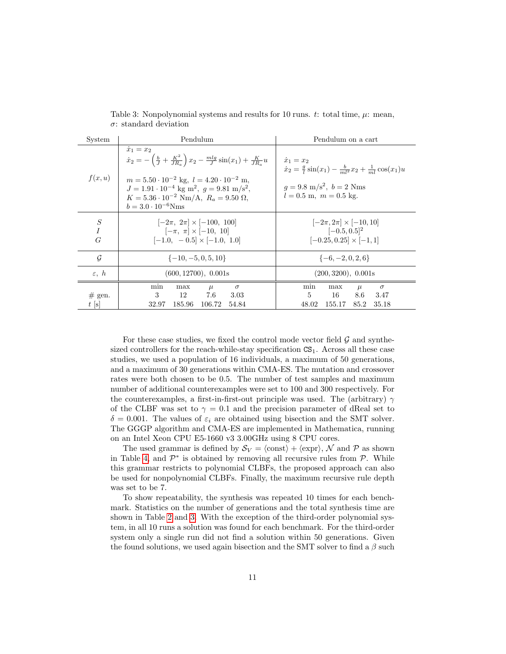| System                                  | Pendulum                                                                                                                                                                                                                                                                                                                                                         | Pendulum on a cart                                                                                                                                                                      |  |  |  |
|-----------------------------------------|------------------------------------------------------------------------------------------------------------------------------------------------------------------------------------------------------------------------------------------------------------------------------------------------------------------------------------------------------------------|-----------------------------------------------------------------------------------------------------------------------------------------------------------------------------------------|--|--|--|
| f(x, u)                                 | $\dot{x}_1 = x_2$<br>$\dot{x}_2 = -\left(\frac{b}{J} + \frac{K^2}{JR_a}\right)x_2 - \frac{mlg}{J}\sin(x_1) + \frac{K}{JR_a}u$<br>$m = 5.50 \cdot 10^{-2}$ kg, $l = 4.20 \cdot 10^{-2}$ m,<br>$J = 1.91 \cdot 10^{-4}$ kg m <sup>2</sup> , $q = 9.81$ m/s <sup>2</sup> ,<br>$K = 5.36 \cdot 10^{-2}$ Nm/A, $R_a = 9.50$ $\Omega$ ,<br>$b = 3.0 \cdot 10^{-6}$ Nms | $\dot{x}_1 = x_2$<br>$\dot{x}_2 = \frac{g}{l} \sin(x_1) - \frac{b}{ml^2} x_2 + \frac{1}{ml} \cos(x_1) u$<br>$q = 9.8 \text{ m/s}^2$ , $b = 2 \text{ Nms}$<br>$l = 0.5$ m, $m = 0.5$ kg. |  |  |  |
| $\boldsymbol{S}$<br>$\overline{I}$<br>G | $ -2\pi, 2\pi  \times  -100, 100 $<br>$[-\pi, \pi] \times [-10, 10]$<br>$[-1.0, -0.5] \times [-1.0, 1.0]$                                                                                                                                                                                                                                                        | $ -2\pi, 2\pi  \times  -10, 10 $<br>$[-0.5, 0.5]^{2}$<br>$[-0.25, 0.25] \times [-1, 1]$                                                                                                 |  |  |  |
| G                                       | $\{-10, -5, 0, 5, 10\}$                                                                                                                                                                                                                                                                                                                                          | $\{-6, -2, 0, 2, 6\}$                                                                                                                                                                   |  |  |  |
| $\varepsilon$ , $h$                     | (600, 12700), 0.001s                                                                                                                                                                                                                                                                                                                                             | (200, 3200), 0.001s                                                                                                                                                                     |  |  |  |
| $#$ gen.<br>$t$ [s]                     | min<br>$\sigma$<br>max<br>$\mu$<br>3<br>12 —<br>7.6<br>3.03<br>185.96<br>54.84<br>32.97<br>106.72                                                                                                                                                                                                                                                                | min<br>$\sigma$<br>max<br>$\mu$<br>$\mathbf{5}$<br>16 —<br>8.6<br>3.47<br>48.02<br>155.17<br>85.2<br>35.18                                                                              |  |  |  |

<span id="page-10-0"></span>Table 3: Nonpolynomial systems and results for 10 runs. t: total time,  $\mu$ : mean, σ: standard deviation

For these case studies, we fixed the control mode vector field  $\mathcal G$  and synthesized controllers for the reach-while-stay specification  $CS<sub>1</sub>$ . Across all these case studies, we used a population of 16 individuals, a maximum of 50 generations, and a maximum of 30 generations within CMA-ES. The mutation and crossover rates were both chosen to be 0.5. The number of test samples and maximum number of additional counterexamples were set to 100 and 300 respectively. For the counterexamples, a first-in-first-out principle was used. The (arbitrary)  $\gamma$ of the CLBF was set to  $\gamma = 0.1$  and the precision parameter of dReal set to  $\delta = 0.001$ . The values of  $\varepsilon_i$  are obtained using bisection and the SMT solver. The GGGP algorithm and CMA-ES are implemented in Mathematica, running on an Intel Xeon CPU E5-1660 v3 3.00GHz using 8 CPU cores.

The used grammar is defined by  $S_V = \langle \text{const} \rangle + \langle \text{expr} \rangle$ , N and P as shown in Table [4,](#page-11-0) and  $\mathcal{P}^*$  is obtained by removing all recursive rules from  $\mathcal{P}$ . While this grammar restricts to polynomial CLBFs, the proposed approach can also be used for nonpolynomial CLBFs. Finally, the maximum recursive rule depth was set to be 7.

To show repeatability, the synthesis was repeated 10 times for each benchmark. Statistics on the number of generations and the total synthesis time are shown in Table [2](#page-9-1) and [3.](#page-10-0) With the exception of the third-order polynomial system, in all 10 runs a solution was found for each benchmark. For the third-order system only a single run did not find a solution within 50 generations. Given the found solutions, we used again bisection and the SMT solver to find a  $\beta$  such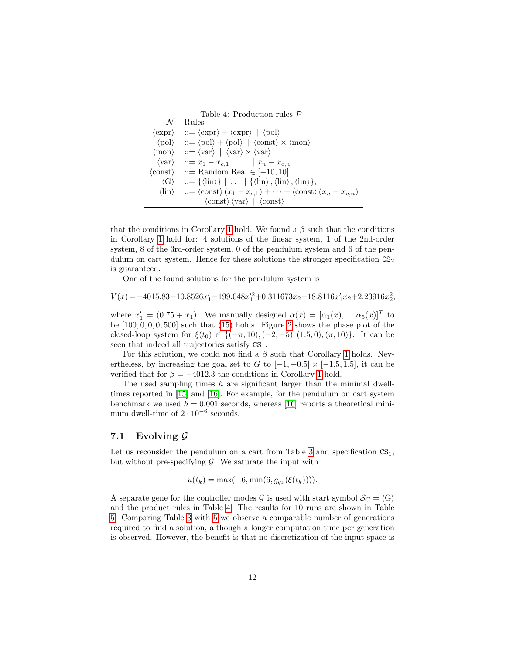<span id="page-11-0"></span>Table 4: Production rules P

|                              | Rules                                                                                                                                                         |
|------------------------------|---------------------------------------------------------------------------------------------------------------------------------------------------------------|
|                              | $\langle \text{expr} \rangle$ ::= $\langle \text{expr} \rangle + \langle \text{expr} \rangle$   $\langle \text{pol} \rangle$                                  |
|                              | $\langle \text{pol} \rangle$ ::= $\langle \text{pol} \rangle + \langle \text{pol} \rangle$   $\langle \text{const} \rangle \times \langle \text{mon} \rangle$ |
| $\langle \text{mon} \rangle$ | $ ::= \langle var \rangle   \langle var \rangle \times \langle var \rangle$                                                                                   |
| $\langle var \rangle$        | $::= x_1 - x_{c,1} \mid  \mid x_n - x_{c,n}$                                                                                                                  |
| $\langle {\rm const}\rangle$ | $ ::=$ Random Real $ \in [-10, 10]$                                                                                                                           |
| $\langle G \rangle$          | $ ::= {\langle \text{lin} \rangle} \mid \dots \mid {\langle \text{lin} \rangle}, \text{lin} \rangle, \text{lin} \rangle,$                                     |
| $\langle \text{lin} \rangle$ | $\therefore = \langle \text{const} \rangle (x_1 - x_{c,1}) + \cdots + \langle \text{const} \rangle (x_n - x_{c,n})$                                           |
|                              | $ \langle \text{const} \rangle \langle \text{var} \rangle   \langle \text{const} \rangle$                                                                     |

that the conditions in Corollary [1](#page-4-2) hold. We found a  $\beta$  such that the conditions in Corollary [1](#page-4-2) hold for: 4 solutions of the linear system, 1 of the 2nd-order system, 8 of the 3rd-order system, 0 of the pendulum system and 6 of the pendulum on cart system. Hence for these solutions the stronger specification  $CS<sub>2</sub>$ is guaranteed.

One of the found solutions for the pendulum system is

$$
V(x)\!=\!-4015.83\!+\!10.8526x_1^\prime\!+\!199.048x_1^{\prime 2}\!+\!0.311673x_2\!+\!18.8116x_1^\prime x_2\!+\!2.23916x_2^2,
$$

where  $x'_1 = (0.75 + x_1)$ . We manually designed  $\alpha(x) = [\alpha_1(x), \dots \alpha_5(x)]^T$  to be  $[100, 0, 0, 0, 500]$  such that  $(15)$  holds. Figure [2](#page-12-0) shows the phase plot of the closed-loop system for  $\xi(t_0) \in \{(-\pi, 10), (-2, -5), (1.5, 0), (\pi, 10)\}.$  It can be seen that indeed all trajectories satisfy  $CS<sub>1</sub>$ .

For this solution, we could not find a  $\beta$  such that Corollary [1](#page-4-2) holds. Nevertheless, by increasing the goal set to G to  $[-1, -0.5] \times [-1.5, 1.5]$ , it can be verified that for  $\beta = -4012.3$  the conditions in Corollary [1](#page-4-2) hold.

The used sampling times  $h$  are significant larger than the minimal dwelltimes reported in [\[15\]](#page-14-6) and [\[16\]](#page-14-7). For example, for the pendulum on cart system benchmark we used  $h = 0.001$  seconds, whereas [\[16\]](#page-14-7) reports a theoretical minimum dwell-time of  $2 \cdot 10^{-6}$  seconds.

### 7.1 Evolving  $\mathcal G$

Let us reconsider the pendulum on a cart from Table [3](#page-10-0) and specification  $CS_1$ , but without pre-specifying  $\mathcal G$ . We saturate the input with

$$
u(t_k) = \max(-6, \min(6, g_{q_k}(\xi(t_k)))).
$$

A separate gene for the controller modes G is used with start symbol  $S_G = \langle G \rangle$ and the product rules in Table [4.](#page-11-0) The results for 10 runs are shown in Table [5.](#page-12-1) Comparing Table [3](#page-10-0) with [5](#page-12-1) we observe a comparable number of generations required to find a solution, although a longer computation time per generation is observed. However, the benefit is that no discretization of the input space is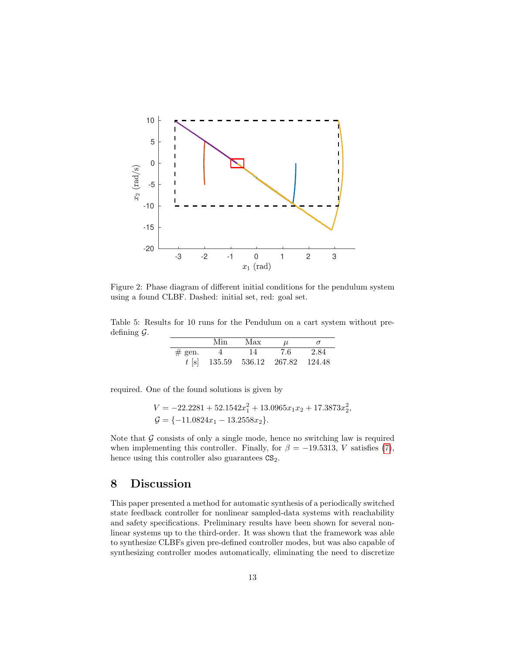

<span id="page-12-0"></span>Figure 2: Phase diagram of different initial conditions for the pendulum system using a found CLBF. Dashed: initial set, red: goal set.

Table 5: Results for 10 runs for the Pendulum on a cart system without predefining  $\mathcal{G}$ .

<span id="page-12-1"></span>

|          | Min           | Max | 11.    | $\sigma$ |
|----------|---------------|-----|--------|----------|
| $#$ gen. |               | 14  | 7.6    | 2.84     |
| $t$ [s]  | 135.59 536.12 |     | 267.82 | -124.48  |

required. One of the found solutions is given by

$$
V = -22.2281 + 52.1542x_1^2 + 13.0965x_1x_2 + 17.3873x_2^2,
$$
  
\n
$$
G = \{-11.0824x_1 - 13.2558x_2\}.
$$

Note that  $G$  consists of only a single mode, hence no switching law is required when implementing this controller. Finally, for  $\beta = -19.5313, V$  satisfies [\(7\)](#page-4-3), hence using this controller also guarantees  $CS_2$ .

### 8 Discussion

This paper presented a method for automatic synthesis of a periodically switched state feedback controller for nonlinear sampled-data systems with reachability and safety specifications. Preliminary results have been shown for several nonlinear systems up to the third-order. It was shown that the framework was able to synthesize CLBFs given pre-defined controller modes, but was also capable of synthesizing controller modes automatically, eliminating the need to discretize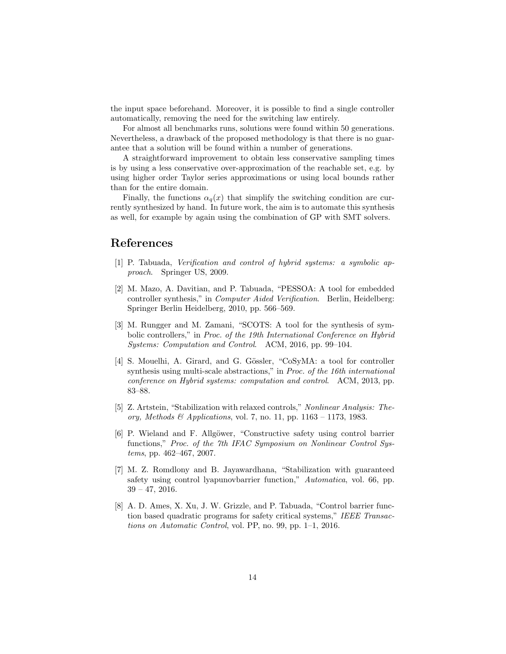the input space beforehand. Moreover, it is possible to find a single controller automatically, removing the need for the switching law entirely.

For almost all benchmarks runs, solutions were found within 50 generations. Nevertheless, a drawback of the proposed methodology is that there is no guarantee that a solution will be found within a number of generations.

A straightforward improvement to obtain less conservative sampling times is by using a less conservative over-approximation of the reachable set, e.g. by using higher order Taylor series approximations or using local bounds rather than for the entire domain.

Finally, the functions  $\alpha_q(x)$  that simplify the switching condition are currently synthesized by hand. In future work, the aim is to automate this synthesis as well, for example by again using the combination of GP with SMT solvers.

## References

- <span id="page-13-0"></span>[1] P. Tabuada, Verification and control of hybrid systems: a symbolic approach. Springer US, 2009.
- <span id="page-13-1"></span>[2] M. Mazo, A. Davitian, and P. Tabuada, "PESSOA: A tool for embedded controller synthesis," in Computer Aided Verification. Berlin, Heidelberg: Springer Berlin Heidelberg, 2010, pp. 566–569.
- <span id="page-13-2"></span>[3] M. Rungger and M. Zamani, "SCOTS: A tool for the synthesis of symbolic controllers," in Proc. of the 19th International Conference on Hybrid Systems: Computation and Control. ACM, 2016, pp. 99–104.
- <span id="page-13-3"></span>[4] S. Mouelhi, A. Girard, and G. Gössler, "CoSyMA: a tool for controller synthesis using multi-scale abstractions," in Proc. of the 16th international conference on Hybrid systems: computation and control. ACM, 2013, pp. 83–88.
- <span id="page-13-4"></span>[5] Z. Artstein, "Stabilization with relaxed controls," Nonlinear Analysis: Theory, Methods & Applications, vol. 7, no. 11, pp.  $1163 - 1173$ , 1983.
- <span id="page-13-5"></span>[6] P. Wieland and F. Allgöwer, "Constructive safety using control barrier functions," Proc. of the 7th IFAC Symposium on Nonlinear Control Systems, pp. 462–467, 2007.
- <span id="page-13-6"></span>[7] M. Z. Romdlony and B. Jayawardhana, "Stabilization with guaranteed safety using control lyapunovbarrier function," Automatica, vol. 66, pp.  $39 - 47, 2016.$
- <span id="page-13-7"></span>[8] A. D. Ames, X. Xu, J. W. Grizzle, and P. Tabuada, "Control barrier function based quadratic programs for safety critical systems," IEEE Transactions on Automatic Control, vol. PP, no. 99, pp. 1–1, 2016.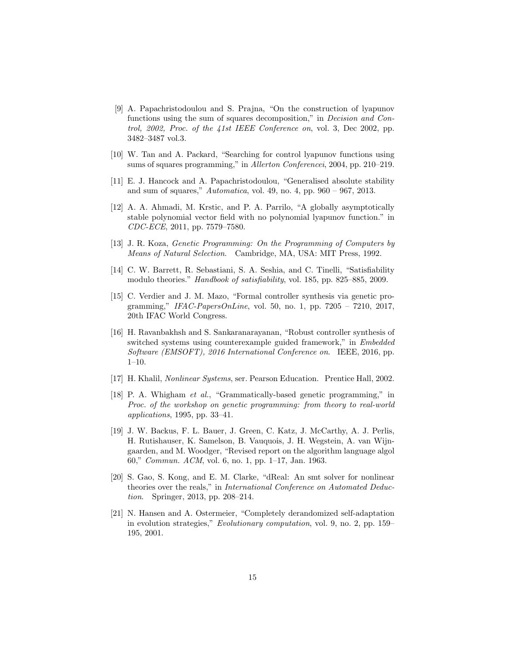- <span id="page-14-0"></span>[9] A. Papachristodoulou and S. Prajna, "On the construction of lyapunov functions using the sum of squares decomposition," in *Decision and Con*trol, 2002, Proc. of the 41st IEEE Conference on, vol. 3, Dec 2002, pp. 3482–3487 vol.3.
- <span id="page-14-1"></span>[10] W. Tan and A. Packard, "Searching for control lyapunov functions using sums of squares programming," in Allerton Conferencei, 2004, pp. 210–219.
- <span id="page-14-2"></span>[11] E. J. Hancock and A. Papachristodoulou, "Generalised absolute stability and sum of squares," Automatica, vol. 49, no. 4, pp. 960 – 967, 2013.
- <span id="page-14-3"></span>[12] A. A. Ahmadi, M. Krstic, and P. A. Parrilo, "A globally asymptotically stable polynomial vector field with no polynomial lyapunov function." in CDC-ECE, 2011, pp. 7579–7580.
- <span id="page-14-4"></span>[13] J. R. Koza, Genetic Programming: On the Programming of Computers by Means of Natural Selection. Cambridge, MA, USA: MIT Press, 1992.
- <span id="page-14-5"></span>[14] C. W. Barrett, R. Sebastiani, S. A. Seshia, and C. Tinelli, "Satisfiability modulo theories." Handbook of satisfiability, vol. 185, pp. 825–885, 2009.
- <span id="page-14-6"></span>[15] C. Verdier and J. M. Mazo, "Formal controller synthesis via genetic programming," IFAC-PapersOnLine, vol. 50, no. 1, pp. 7205 – 7210, 2017, 20th IFAC World Congress.
- <span id="page-14-7"></span>[16] H. Ravanbakhsh and S. Sankaranarayanan, "Robust controller synthesis of switched systems using counterexample guided framework," in Embedded Software (EMSOFT), 2016 International Conference on. IEEE, 2016, pp. 1–10.
- <span id="page-14-8"></span>[17] H. Khalil, Nonlinear Systems, ser. Pearson Education. Prentice Hall, 2002.
- <span id="page-14-9"></span>[18] P. A. Whigham et al., "Grammatically-based genetic programming," in Proc. of the workshop on genetic programming: from theory to real-world applications, 1995, pp. 33–41.
- <span id="page-14-10"></span>[19] J. W. Backus, F. L. Bauer, J. Green, C. Katz, J. McCarthy, A. J. Perlis, H. Rutishauser, K. Samelson, B. Vauquois, J. H. Wegstein, A. van Wijngaarden, and M. Woodger, "Revised report on the algorithm language algol 60," Commun. ACM, vol. 6, no. 1, pp. 1–17, Jan. 1963.
- <span id="page-14-11"></span>[20] S. Gao, S. Kong, and E. M. Clarke, "dReal: An smt solver for nonlinear theories over the reals," in International Conference on Automated Deduction. Springer, 2013, pp. 208–214.
- <span id="page-14-12"></span>[21] N. Hansen and A. Ostermeier, "Completely derandomized self-adaptation in evolution strategies," Evolutionary computation, vol. 9, no. 2, pp. 159– 195, 2001.